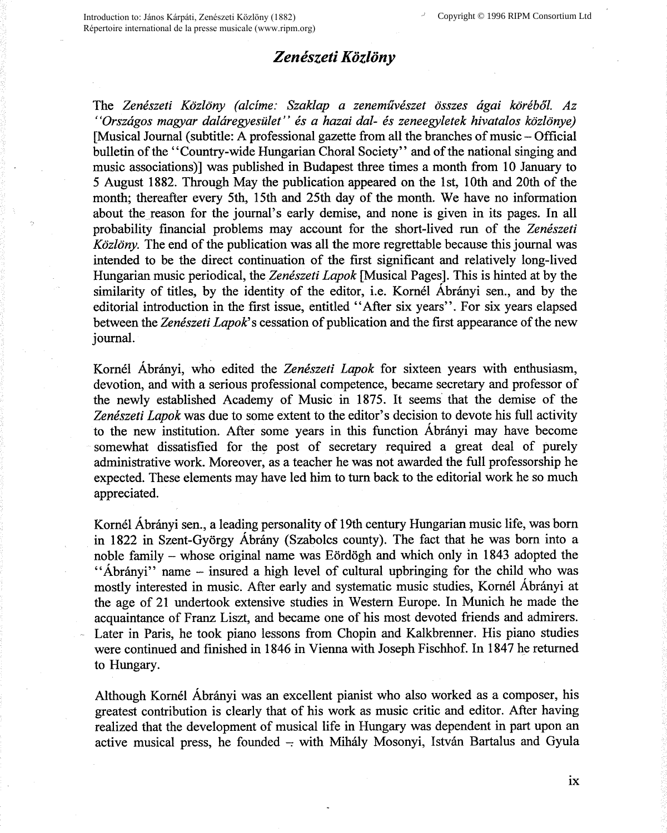## *Zeneszeti Kozlony*

The *Zeneszeti Kozlony (alcime: Szaklap a zenemiiveszet osszes agai korebol. Az "Orszagos magyar dalaregyesulet" es a hazai dal- es zeneegyletek hivatalos kozlonye)*  [Musical Journal (subtitle: A professional gazette from all the branches of music – Official bulletin of the "Country-wide Hungarian Choral Society" and of the national singing and music associations)] was published in Budapest three times a month from 10 January to 5 August 1882. Through May the publication appeared on the 1st, 10th and 20th of the month; thereafter every 5th, 15th and 25th day of the month. We have no information about the reason for the journal's early demise, and none is given in its pages. In all probability financial problems may account for the short-lived run of the *Zeneszeti Kozlony.* The end of the publication was all the more regrettable because this journal was intended to be the direct continuation of the first significant and relatively long-lived Hungarian music periodical, the *Zeneszeti Lapok* [Musical Pages]. This is hinted at by the similarity of titles, by the identity of the editor, i.e. Kornel Abranyi sen., and by the editorial introduction in the first issue, entitled "After six years". For six years elapsed between the *Zeneszeti Lapok'* s cessation of publication and the first appearance of the new journal.

Kornel Abranyi, who edited the *Zeneszeti Lapok* for sixteen years with enthusiasm, devotion, and with a serious professional competence, became secretary and professor of the newly established Academy of Music in 1875. It seems that the demise of the *Zeneszeti Lapok* was due to some extent to the editor's decision to devote his full activity to the new institution. After some years in this function Abranyi may have become somewhat dissatisfied for the post of secretary required a great deal of purely administrative work. Moreover, as a teacher he was not awarded the full professorship he expected. These elements may have led him to turn back to the editorial work he so much appreciated.

Kornel Abranyi sen., a leading personality of 19th century Hungarian music life, was born in 1822 in Szent-György Ábrány (Szabolcs county). The fact that he was born into a noble family - whose original name was Eordogh and which only in 1843 adopted the "Abrányi" name – insured a high level of cultural upbringing for the child who was mostly interested in music. After early and systematic music studies, Komel Abranyi at the age of 21 undertook extensive studies in Western Europe. In Munich he made the acquaintance of Franz Liszt, and became one of his most devoted friends and admirers. Later in Paris, he took piano lessons from Chopin and Kalkbrenner. His piano studies were continued and finished in 1846 in Vienna with Joseph Fischhof. In 1847 he returned to Hungary.

Although Kornel Abranyi was an excellent pianist who also worked as a composer, his greatest contribution is clearly that of his work as music critic and editor. After having realized that the development of musical life in Hungary was dependent in part upon an active musical press, he founded -- with Mihály Mosonyi, István Bartalus and Gyula

IX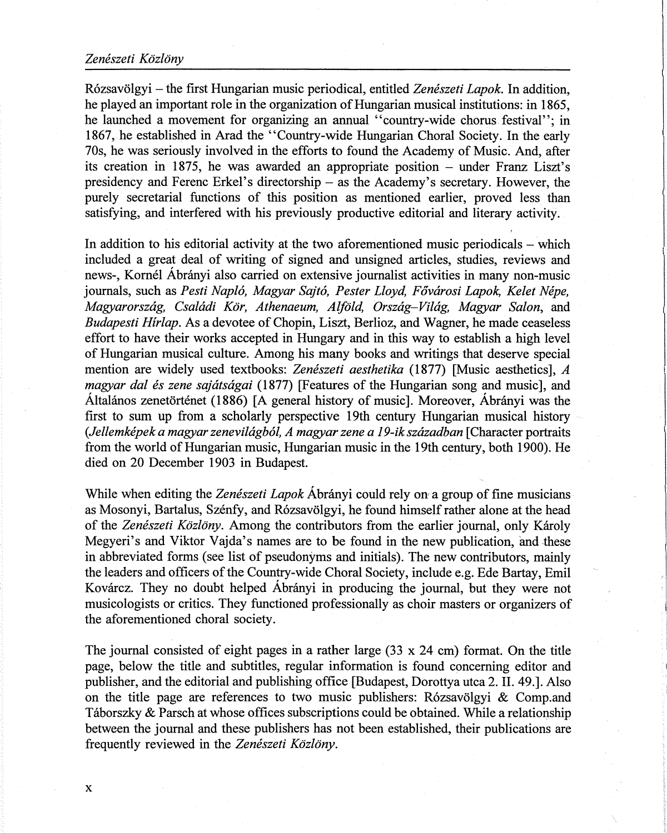## *Zeneszeti Kozlony*

R6zsavolgyi - the first Hungarian music periodical, entitled *Zeneszeti Lapok.* In addition, he played an important role in the organization of Hungarian musical institutions: in 1865, he launched a movement for organizing an annual "country-wide chorus festival"; in 1867, he established in Arad the "Country-wide Hungarian Choral Society. In the early 70s, he was seriously involved in the efforts to found the Academy of Music. And, after its creation in 1875, he was awarded an appropriate position - under Franz Liszt's presidency and Ferenc Erkel's directorship - as the Academy's secretary. However, the purely secretarial functions of this position as mentioned earlier, proved less than satisfying, and interfered with his previously productive editorial and literary activity.

In addition to his editorial activity at the two aforementioned music periodicals  $-$  which included a great deal of writing of signed and unsigned articles, studies, reviews and news-, Kornel Abranyi also carried on extensive journalist activities in many non-music journals, such as *Pesti Nap/6, Magyar Sajt6, Pester Lloyd, Fowirosi Lapok, Kelet Nepe, Magyarorszag, Csaladi Kor, Athenaeum, Alfold, Orszag-Vilag, Magyar Salon,* and *Budapesti Hirlap.* As a devotee of Chopin, Liszt, Berlioz, and Wagner, he made ceaseless effort to have their works accepted in Hungary and in this way to establish a high level of Hungarian musical culture. Among his many books and writings that deserve special mention are widely used textbooks: *Zeneszeti aesthetika* (1877) [Music aesthetics], *A magyar dal és zene sajátságai* (1877) [Features of the Hungarian song and music], and Altalanos zenetortenet (1886) [A general history of music]. Moreover, Abranyi was the first to sum up from a scholarly perspective 19th century Hungarian musical history *(Jellemkepek a magyar zenevilagb6l, A magyar zene a 19-ik szazadban* [Character portraits from the world of Hungarian music, Hungarian music in the 19th century, both 1900). He died on 20 December 1903 in Budapest.

While when editing the *Zenészeti Lapok* Ábrányi could rely on a group of fine musicians as Mosonyi, Bartalus, Szénfy, and Rózsavölgyi, he found himself rather alone at the head of the *Zenészeti Közlöny*. Among the contributors from the earlier journal, only Károly Megyeri's and Viktor Vajda's names are to be found in the new publication, and these in abbreviated forms (see list of pseudonyms and initials). The new contributors, mainly the leaders and officers of the Country-wide Choral Society, include e.g. Ede Bartay, Emil Kovárcz. They no doubt helped Ábrányi in producing the journal, but they were not musicologists or critics. They functioned professionally as choir masters or organizers of the aforementioned choral society.

The journal consisted of eight pages in a rather large  $(33 \times 24 \text{ cm})$  format. On the title page, below the title and subtitles, regular information is found concerning editor and publisher, and the editorial and publishing office [Budapest, Dorottya utca 2. IL 49.]. Also on the title page are references to two music publishers: Rózsavölgyi  $\&$  Comp.and Taborszky & Parsch at whose offices subscriptions could be obtained. While a relationship between the journal and these publishers has not been established, their publications are frequently reviewed in the Zenészeti Közlöny.